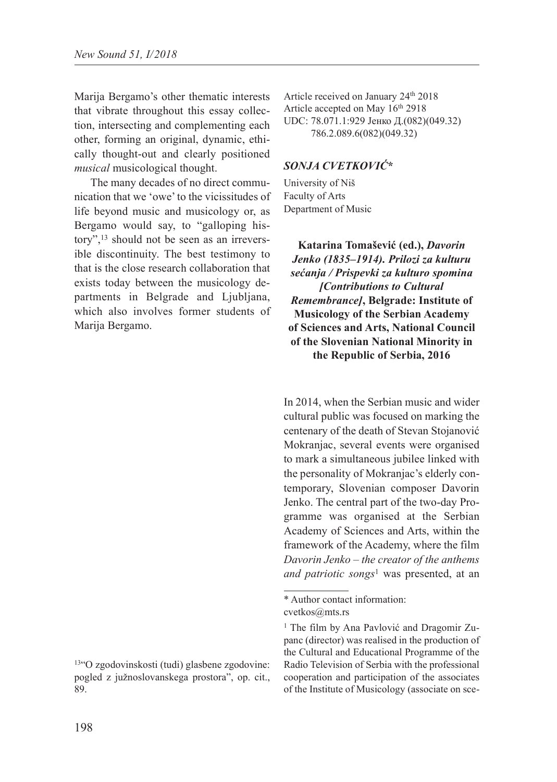Marija Bergamo's other thematic interests that vibrate throughout this essay collection, intersecting and complementing each other, forming an original, dynamic, ethically thought-out and clearly positioned musical musicological thought.

The many decades of no direct communication that we 'owe' to the vicissitudes of life beyond music and musicology or, as Bergamo would say, to "galloping history",13 should not be seen as an irreversible discontinuity. The best testimony to that is the close research collaboration that exists today between the musicology departments in Belgrade and Ljubljana, which also involves former students of Marija Bergamo.

13"O zgodovinskosti (tudi) glasbene zgodovine: pogled z južnoslovanskega prostora", op. cit., 89.

Article received on January 24<sup>th</sup> 2018 Article accepted on May 16th 2918 UDC: 78.071.1:929 .(082)(049.32) 786.2.089.6(082)(049.32)

## SONJA CVETKOVIĆ\*

University of Niš Faculty of Arts Department of Music

Katarina Tomašević (ed.), Davorin Jenko (1835–1914). Prilozi za kulturu sećanja / Prispevki za kulturo spomina [Contributions to Cultural Remembrancel, Belgrade: Institute of Musicology of the Serbian Academy of Sciences and Arts, National Council of the Slovenian National Minority in the Republic of Serbia, 2016

In 2014, when the Serbian music and wider cultural public was focused on marking the centenary of the death of Stevan Stojanović Mokranjac, several events were organised to mark a simultaneous jubilee linked with the personality of Mokranjac's elderly contemporary, Slovenian composer Davorin Jenko. The central part of the two-day Programme was organised at the Serbian Academy of Sciences and Arts, within the framework of the Academy, where the film Davorin Jenko – the creator of the anthems and patriotic songs<sup>1</sup> was presented, at an

<sup>\*</sup> Author contact information: cvetkos@mts.rs

<sup>1</sup> The film by Ana Pavlović and Dragomir Zupanc (director) was realised in the production of the Cultural and Educational Programme of the Radio Television of Serbia with the professional cooperation and participation of the associates of the Institute of Musicology (associate on sce-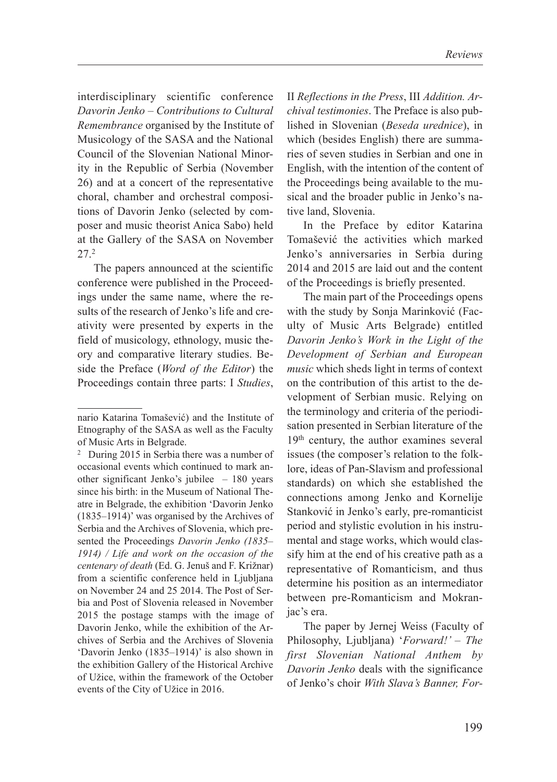interdisciplinary scientific conference Davorin Jenko – Contributions to Cultural Remembrance organised by the Institute of Musicology of the SASA and the National Council of the Slovenian National Minority in the Republic of Serbia (November 26) and at a concert of the representative choral, chamber and orchestral compositions of Davorin Jenko (selected by composer and music theorist Anica Sabo) held at the Gallery of the SASA on November 27.2

The papers announced at the scientific conference were published in the Proceedings under the same name, where the results of the research of Jenko's life and creativity were presented by experts in the field of musicology, ethnology, music theory and comparative literary studies. Beside the Preface (Word of the Editor) the Proceedings contain three parts: I Studies, II Reflections in the Press, III Addition. Archival testimonies. The Preface is also published in Slovenian (Beseda urednice), in which (besides English) there are summaries of seven studies in Serbian and one in English, with the intention of the content of the Proceedings being available to the musical and the broader public in Jenko's native land, Slovenia.

In the Preface by editor Katarina Tomašević the activities which marked Jenko's anniversaries in Serbia during 2014 and 2015 are laid out and the content of the Proceedings is briefly presented.

The main part of the Proceedings opens with the study by Sonja Marinković (Faculty of Music Arts Belgrade) entitled Davorin Jenko's Work in the Light of the Development of Serbian and European music which sheds light in terms of context on the contribution of this artist to the development of Serbian music. Relying on the terminology and criteria of the periodisation presented in Serbian literature of the 19th century, the author examines several issues (the composer's relation to the folklore, ideas of Pan-Slavism and professional standards) on which she established the connections among Jenko and Kornelije Stanković in Jenko's early, pre-romanticist period and stylistic evolution in his instrumental and stage works, which would classify him at the end of his creative path as a representative of Romanticism, and thus determine his position as an intermediator between pre-Romanticism and Mokranjac's era.

The paper by Jernej Weiss (Faculty of Philosophy, Ljubljana) 'Forward!' – The first Slovenian National Anthem by Davorin Jenko deals with the significance of Jenko's choir With Slava's Banner, For-

nario Katarina Tomašević) and the Institute of Etnography of the SASA as well as the Faculty of Music Arts in Belgrade.

<sup>2</sup> During 2015 in Serbia there was a number of occasional events which continued to mark another significant Jenko's jubilee – 180 years since his birth: in the Museum of National Theatre in Belgrade, the exhibition 'Davorin Jenko (1835–1914)' was organised by the Archives of Serbia and the Archives of Slovenia, which presented the Proceedings Davorin Jenko (1835– 1914) / Life and work on the occasion of the centenary of death (Ed. G. Jenuš and F. Križnar) from a scientific conference held in Ljubljana on November 24 and 25 2014. The Post of Serbia and Post of Slovenia released in November 2015 the postage stamps with the image of Davorin Jenko, while the exhibition of the Archives of Serbia and the Archives of Slovenia 'Davorin Jenko (1835–1914)' is also shown in the exhibition Gallery of the Historical Archive of Užice, within the framework of the October events of the City of Užice in 2016.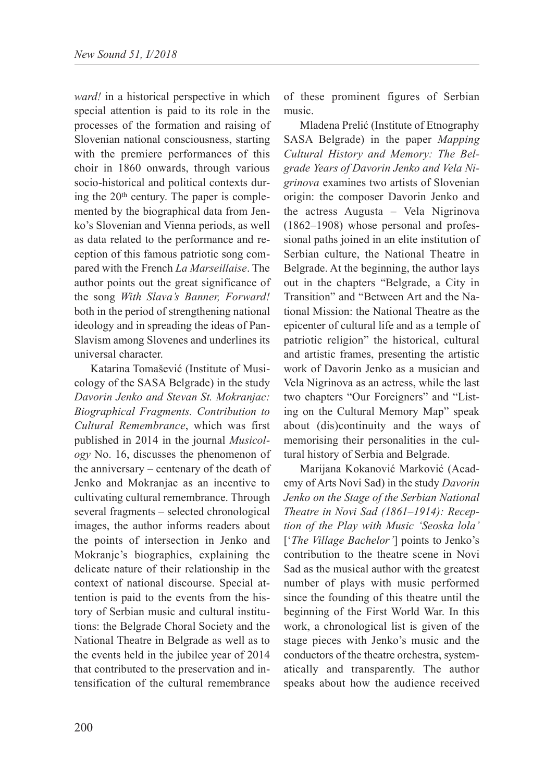ward! in a historical perspective in which special attention is paid to its role in the processes of the formation and raising of Slovenian national consciousness, starting with the premiere performances of this choir in 1860 onwards, through various socio-historical and political contexts during the 20<sup>th</sup> century. The paper is complemented by the biographical data from Jenko's Slovenian and Vienna periods, as well as data related to the performance and reception of this famous patriotic song compared with the French La Marseillaise. The author points out the great significance of the song With Slava's Banner, Forward! both in the period of strengthening national ideology and in spreading the ideas of Pan-Slavism among Slovenes and underlines its universal character.

Katarina Tomašević (Institute of Musicology of the SASA Belgrade) in the study Davorin Jenko and Stevan St. Mokranjac: Biographical Fragments. Contribution to Cultural Remembrance, which was first published in 2014 in the journal *Musicol*ogy No. 16, discusses the phenomenon of the anniversary – centenary of the death of Jenko and Mokranjac as an incentive to cultivating cultural remembrance. Through several fragments – selected chronological images, the author informs readers about the points of intersection in Jenko and Mokranjc's biographies, explaining the delicate nature of their relationship in the context of national discourse. Special attention is paid to the events from the history of Serbian music and cultural institutions: the Belgrade Choral Society and the National Theatre in Belgrade as well as to the events held in the jubilee year of 2014 that contributed to the preservation and intensification of the cultural remembrance

of these prominent figures of Serbian music.

Mladena Prelić (Institute of Etnography SASA Belgrade) in the paper Mapping Cultural History and Memory: The Belgrade Years of Davorin Jenko and Vela Nigrinova examines two artists of Slovenian origin: the composer Davorin Jenko and the actress Augusta – Vela Nigrinova (1862–1908) whose personal and professional paths joined in an elite institution of Serbian culture, the National Theatre in Belgrade. At the beginning, the author lays out in the chapters "Belgrade, a City in Transition" and "Between Art and the National Mission: the National Theatre as the epicenter of cultural life and as a temple of patriotic religion" the historical, cultural and artistic frames, presenting the artistic work of Davorin Jenko as a musician and Vela Nigrinova as an actress, while the last two chapters "Our Foreigners" and "Listing on the Cultural Memory Map" speak about (dis)continuity and the ways of memorising their personalities in the cultural history of Serbia and Belgrade.

Marijana Kokanović Marković (Academy of Arts Novi Sad) in the study Davorin Jenko on the Stage of the Serbian National Theatre in Novi Sad (1861–1914): Reception of the Play with Music 'Seoska lola' ['The Village Bachelor'] points to Jenko's contribution to the theatre scene in Novi Sad as the musical author with the greatest number of plays with music performed since the founding of this theatre until the beginning of the First World War. In this work, a chronological list is given of the stage pieces with Jenko's music and the conductors of the theatre orchestra, systematically and transparently. The author speaks about how the audience received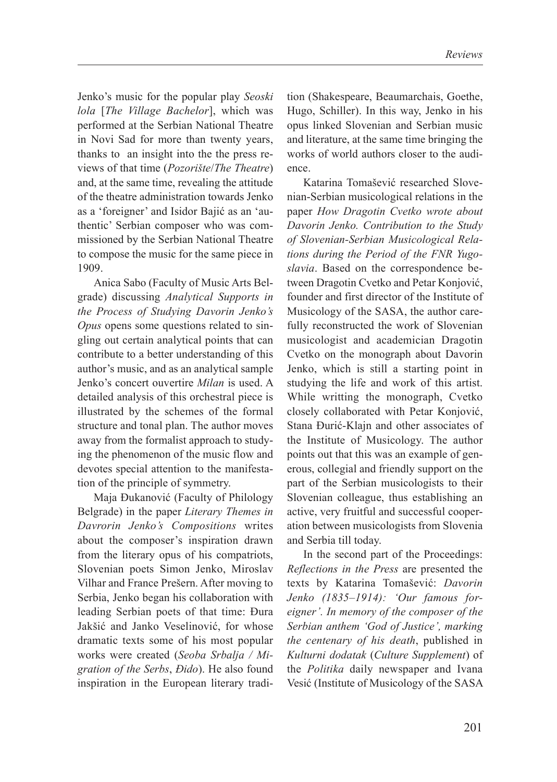Jenko's music for the popular play Seoski lola [The Village Bachelor], which was performed at the Serbian National Theatre in Novi Sad for more than twenty years, thanks to an insight into the the press reviews of that time (*Pozorište/The Theatre*) and, at the same time, revealing the attitude of the theatre administration towards Jenko as a 'foreigner' and Isidor Bajić as an 'authentic' Serbian composer who was commissioned by the Serbian National Theatre to compose the music for the same piece in 1909.

Anica Sabo (Faculty of Music Arts Belgrade) discussing Analytical Supports in the Process of Studying Davorin Jenko's Opus opens some questions related to singling out certain analytical points that can contribute to a better understanding of this author's music, and as an analytical sample Jenko's concert ouvertire Milan is used. A detailed analysis of this orchestral piece is illustrated by the schemes of the formal structure and tonal plan. The author moves away from the formalist approach to studying the phenomenon of the music flow and devotes special attention to the manifestation of the principle of symmetry.

Maja Đukanović (Faculty of Philology Belgrade) in the paper Literary Themes in Davrorin Jenko's Compositions writes about the composer's inspiration drawn from the literary opus of his compatriots, Slovenian poets Simon Jenko, Miroslav Vilhar and France Prešern. After moving to Serbia, Jenko began his collaboration with leading Serbian poets of that time: Dura Jakšić and Janko Veselinović, for whose dramatic texts some of his most popular works were created (Seoba Srbalja / Migration of the Serbs, Dido). He also found inspiration in the European literary tradi-

tion (Shakespeare, Beaumarchais, Goethe, Hugo, Schiller). In this way, Jenko in his opus linked Slovenian and Serbian music and literature, at the same time bringing the works of world authors closer to the audience.

Katarina Tomašević researched Slovenian-Serbian musicological relations in the paper How Dragotin Cvetko wrote about Davorin Jenko. Contribution to the Study of Slovenian-Serbian Musicological Relations during the Period of the FNR Yugoslavia. Based on the correspondence between Dragotin Cvetko and Petar Konjović, founder and first director of the Institute of Musicology of the SASA, the author carefully reconstructed the work of Slovenian musicologist and academician Dragotin Cvetko on the monograph about Davorin Jenko, which is still a starting point in studying the life and work of this artist. While writting the monograph, Cvetko closely collaborated with Petar Konjović, Stana Đurić-Klajn and other associates of the Institute of Musicology. The author points out that this was an example of generous, collegial and friendly support on the part of the Serbian musicologists to their Slovenian colleague, thus establishing an active, very fruitful and successful cooperation between musicologists from Slovenia and Serbia till today.

In the second part of the Proceedings: Reflections in the Press are presented the texts by Katarina Tomašević: Davorin Jenko (1835–1914): 'Our famous foreigner'. In memory of the composer of the Serbian anthem 'God of Justice', marking the centenary of his death, published in Kulturni dodatak (Culture Supplement) of the *Politika* daily newspaper and Ivana Vesić (Institute of Musicology of the SASA